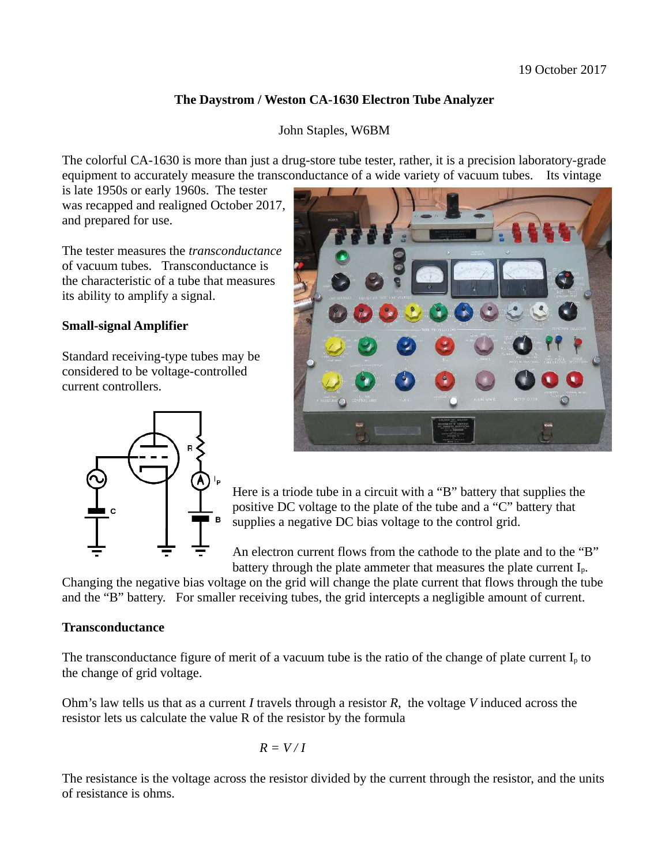# **The Daystrom / Weston CA-1630 Electron Tube Analyzer**

### John Staples, W6BM

The colorful CA-1630 is more than just a drug-store tube tester, rather, it is a precision laboratory-grade equipment to accurately measure the transconductance of a wide variety of vacuum tubes. Its vintage

is late 1950s or early 1960s. The tester was recapped and realigned October 2017, and prepared for use.

The tester measures the *transconductance* of vacuum tubes. Transconductance is the characteristic of a tube that measures its ability to amplify a signal.

### **Small-signal Amplifier**

Standard receiving-type tubes may be considered to be voltage-controlled current controllers.





Here is a triode tube in a circuit with a "B" battery that supplies the positive DC voltage to the plate of the tube and a "C" battery that supplies a negative DC bias voltage to the control grid.

An electron current flows from the cathode to the plate and to the "B" battery through the plate ammeter that measures the plate current  $I_n$ .

Changing the negative bias voltage on the grid will change the plate current that flows through the tube and the "B" battery. For smaller receiving tubes, the grid intercepts a negligible amount of current.

### **Transconductance**

The transconductance figure of merit of a vacuum tube is the ratio of the change of plate current  $I_n$  to the change of grid voltage.

Ohm's law tells us that as a current *I* travels through a resistor *R*, the voltage *V* induced across the resistor lets us calculate the value R of the resistor by the formula

$$
R = V/I
$$

The resistance is the voltage across the resistor divided by the current through the resistor, and the units of resistance is ohms.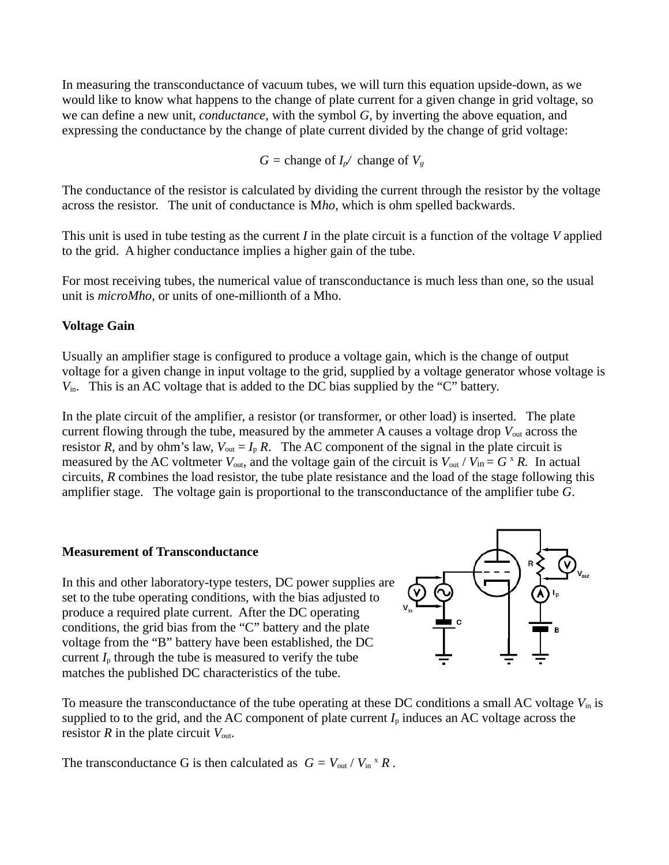In measuring the transconductance of vacuum tubes, we will turn this equation upside-down, as we would like to know what happens to the change of plate current for a given change in grid voltage, so we can define a new unit, *conductance*, with the symbol *G*, by inverting the above equation, and expressing the conductance by the change of plate current divided by the change of grid voltage:

*G* = change of  $I_p$ */ change of*  $V_q$ 

The conductance of the resistor is calculated by dividing the current through the resistor by the voltage across the resistor. The unit of conductance is M*ho*, which is ohm spelled backwards.

This unit is used in tube testing as the current *I* in the plate circuit is a function of the voltage *V* applied to the grid. A higher conductance implies a higher gain of the tube.

For most receiving tubes, the numerical value of transconductance is much less than one, so the usual unit is *microMho*, or units of one-millionth of a Mho.

# **Voltage Gain**

Usually an amplifier stage is configured to produce a voltage gain, which is the change of output voltage for a given change in input voltage to the grid, supplied by a voltage generator whose voltage is *V*in. This is an AC voltage that is added to the DC bias supplied by the "C" battery.

In the plate circuit of the amplifier, a resistor (or transformer, or other load) is inserted. The plate current flowing through the tube, measured by the ammeter A causes a voltage drop  $V_{\text{out}}$  across the resistor *R*, and by ohm's law,  $V_{out} = I_p R$ . The AC component of the signal in the plate circuit is measured by the AC voltmeter  $V_{\text{out}}$ , and the voltage gain of the circuit is  $V_{\text{out}}/V_{\text{in}} = G^{\times} R$ . In actual circuits, *R* combines the load resistor, the tube plate resistance and the load of the stage following this amplifier stage. The voltage gain is proportional to the transconductance of the amplifier tube *G*.

# **Measurement of Transconductance**

In this and other laboratory-type testers, DC power supplies are set to the tube operating conditions, with the bias adjusted to produce a required plate current. After the DC operating conditions, the grid bias from the "C" battery and the plate voltage from the "B" battery have been established, the DC current  $I<sub>p</sub>$  through the tube is measured to verify the tube matches the published DC characteristics of the tube.



To measure the transconductance of the tube operating at these DC conditions a small AC voltage *V*in is supplied to to the grid, and the AC component of plate current  $I_p$  induces an AC voltage across the resistor *R* in the plate circuit *V*out.

The transconductance G is then calculated as  $G = V_{out} / V_{in} * R$ .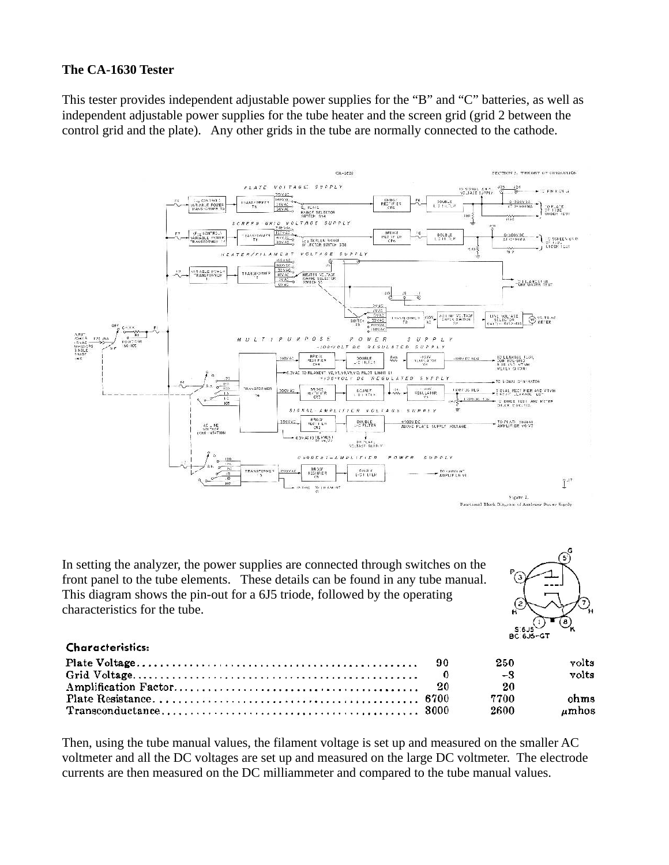### **The CA-1630 Tester**

This tester provides independent adjustable power supplies for the "B" and "C" batteries, as well as independent adjustable power supplies for the tube heater and the screen grid (grid 2 between the control grid and the plate). Any other grids in the tube are normally connected to the cathode.



In setting the analyzer, the power supplies are connected through switches on the front panel to the tube elements. These details can be found in any tube manual. This diagram shows the pin-out for a 6J5 triode, followed by the operating characteristics for the tube.



#### **Characteristics:**

|  | 250  | volts |
|--|------|-------|
|  | -3   | volts |
|  | 20   |       |
|  | 7700 | ohms  |
|  | 2600 | umhos |

Then, using the tube manual values, the filament voltage is set up and measured on the smaller AC voltmeter and all the DC voltages are set up and measured on the large DC voltmeter. The electrode currents are then measured on the DC milliammeter and compared to the tube manual values.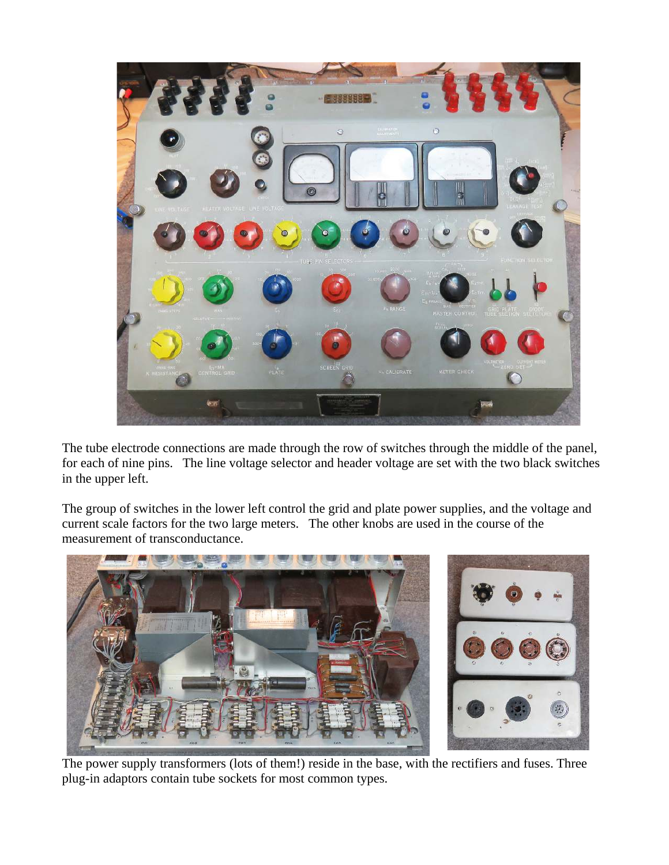

The tube electrode connections are made through the row of switches through the middle of the panel, for each of nine pins. The line voltage selector and header voltage are set with the two black switches in the upper left.

The group of switches in the lower left control the grid and plate power supplies, and the voltage and current scale factors for the two large meters. The other knobs are used in the course of the measurement of transconductance.



The power supply transformers (lots of them!) reside in the base, with the rectifiers and fuses. Three plug-in adaptors contain tube sockets for most common types.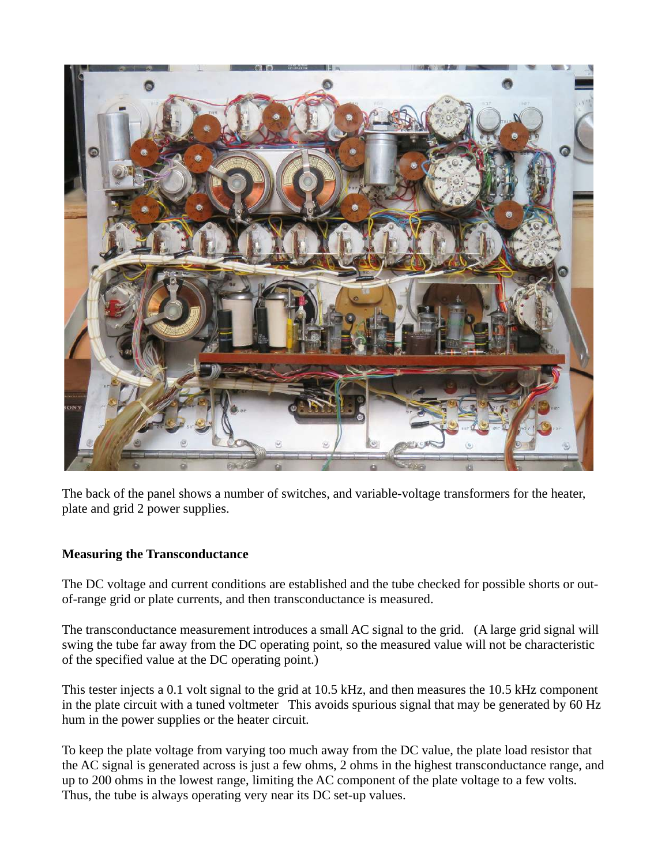

The back of the panel shows a number of switches, and variable-voltage transformers for the heater, plate and grid 2 power supplies.

# **Measuring the Transconductance**

The DC voltage and current conditions are established and the tube checked for possible shorts or outof-range grid or plate currents, and then transconductance is measured.

The transconductance measurement introduces a small AC signal to the grid. (A large grid signal will swing the tube far away from the DC operating point, so the measured value will not be characteristic of the specified value at the DC operating point.)

This tester injects a 0.1 volt signal to the grid at 10.5 kHz, and then measures the 10.5 kHz component in the plate circuit with a tuned voltmeter This avoids spurious signal that may be generated by 60 Hz hum in the power supplies or the heater circuit.

To keep the plate voltage from varying too much away from the DC value, the plate load resistor that the AC signal is generated across is just a few ohms, 2 ohms in the highest transconductance range, and up to 200 ohms in the lowest range, limiting the AC component of the plate voltage to a few volts. Thus, the tube is always operating very near its DC set-up values.